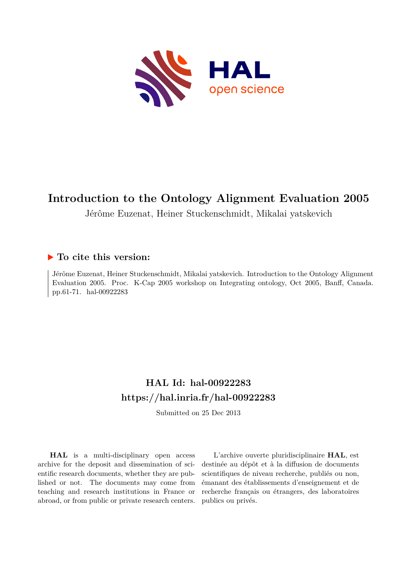

# **Introduction to the Ontology Alignment Evaluation 2005**

Jérôme Euzenat, Heiner Stuckenschmidt, Mikalai yatskevich

## **To cite this version:**

Jérôme Euzenat, Heiner Stuckenschmidt, Mikalai yatskevich. Introduction to the Ontology Alignment Evaluation 2005. Proc. K-Cap 2005 workshop on Integrating ontology, Oct 2005, Banff, Canada. pp.61-71. hal-00922283

# **HAL Id: hal-00922283 <https://hal.inria.fr/hal-00922283>**

Submitted on 25 Dec 2013

**HAL** is a multi-disciplinary open access archive for the deposit and dissemination of scientific research documents, whether they are published or not. The documents may come from teaching and research institutions in France or abroad, or from public or private research centers.

L'archive ouverte pluridisciplinaire **HAL**, est destinée au dépôt et à la diffusion de documents scientifiques de niveau recherche, publiés ou non, émanant des établissements d'enseignement et de recherche français ou étrangers, des laboratoires publics ou privés.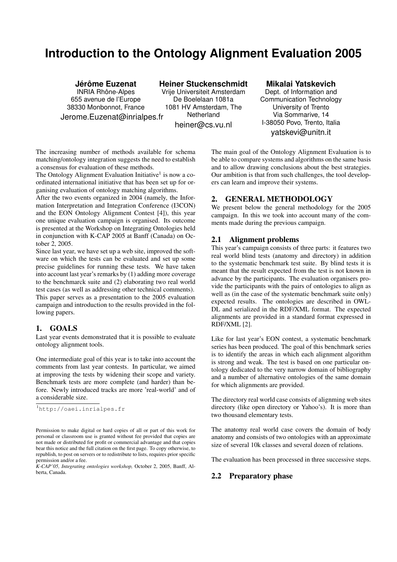# **Introduction to the Ontology Alignment Evaluation 2005**

## **Jérôme Euzenat**

INRIA Rhône-Alpes 655 avenue de l'Europe 38330 Monbonnot, France Jerome.Euzenat@inrialpes.fr

**Heiner Stuckenschmidt**

Vrije Universiteit Amsterdam De Boelelaan 1081a 1081 HV Amsterdam, The Netherland

heiner@cs.vu.nl

## **Mikalai Yatskevich**

Dept. of Information and Communication Technology University of Trento Via Sommarive, 14 I-38050 Povo, Trento, Italia yatskevi@unitn.it

The increasing number of methods available for schema matching/ontology integration suggests the need to establish a consensus for evaluation of these methods.

The Ontology Alignment Evaluation Initiative<sup>1</sup> is now a coordinated international initiative that has been set up for organising evaluation of ontology matching algorithms.

After the two events organized in 2004 (namely, the Information Interpretation and Integration Conference (I3CON) and the EON Ontology Alignment Contest [4]), this year one unique evaluation campaign is organised. Its outcome is presented at the Workshop on Integrating Ontologies held in conjunction with K-CAP 2005 at Banff (Canada) on October 2, 2005.

Since last year, we have set up a web site, improved the software on which the tests can be evaluated and set up some precise guidelines for running these tests. We have taken into account last year's remarks by (1) adding more coverage to the benchmarck suite and (2) elaborating two real world test cases (as well as addressing other technical comments). This paper serves as a presentation to the 2005 evaluation campaign and introduction to the results provided in the following papers.

## 1. GOALS

Last year events demonstrated that it is possible to evaluate ontology alignment tools.

One intermediate goal of this year is to take into account the comments from last year contests. In particular, we aimed at improving the tests by widening their scope and variety. Benchmark tests are more complete (and harder) than before. Newly introduced tracks are more 'real-world' and of a considerable size.

<sup>1</sup>http://oaei.inrialpes.fr

The main goal of the Ontology Alignment Evaluation is to be able to compare systems and algorithms on the same basis and to allow drawing conclusions about the best strategies. Our ambition is that from such challenges, the tool developers can learn and improve their systems.

## 2. GENERAL METHODOLOGY

We present below the general methodology for the 2005 campaign. In this we took into account many of the comments made during the previous campaign.

#### 2.1 Alignment problems

This year's campaign consists of three parts: it features two real world blind tests (anatomy and directory) in addition to the systematic benchmark test suite. By blind tests it is meant that the result expected from the test is not known in advance by the participants. The evaluation organisers provide the participants with the pairs of ontologies to align as well as (in the case of the systematic benchmark suite only) expected results. The ontologies are described in OWL-DL and serialized in the RDF/XML format. The expected alignments are provided in a standard format expressed in RDF/XML [2].

Like for last year's EON contest, a systematic benchmark series has been produced. The goal of this benchmark series is to identify the areas in which each alignment algorithm is strong and weak. The test is based on one particular ontology dedicated to the very narrow domain of bibliography and a number of alternative ontologies of the same domain for which alignments are provided.

The directory real world case consists of alignming web sites directory (like open directory or Yahoo's). It is more than two thousand elementary tests.

The anatomy real world case covers the domain of body anatomy and consists of two ontologies with an approximate size of several 10k classes and several dozen of relations.

The evaluation has been processed in three successive steps.

## 2.2 Preparatory phase

Permission to make digital or hard copies of all or part of this work for personal or classroom use is granted without fee provided that copies are not made or distributed for profit or commercial advantage and that copies bear this notice and the full citation on the first page. To copy otherwise, to republish, to post on servers or to redistribute to lists, requires prior specific permission and/or a fee.

*K-CAP'05, Integrating ontologies workshop,* October 2, 2005, Banff, Alberta, Canada.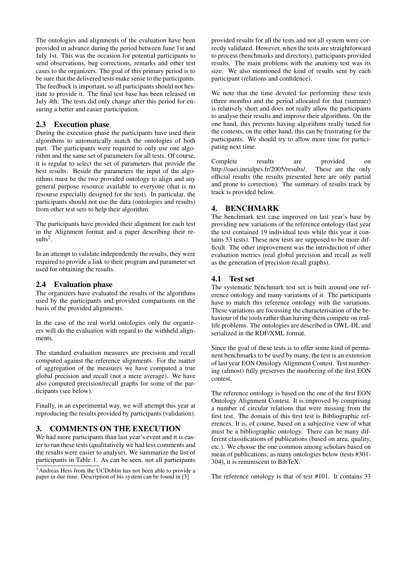The ontologies and alignments of the evaluation have been provided in advance during the period between June 1st and July 1st. This was the occasion for potential participants to send observations, bug corrections, remarks and other test cases to the organizers. The goal of this primary period is to be sure that the delivered tests make sense to the participants. The feedback is important, so all participants should not hesitate to provide it. The final test base has been released on July 4th. The tests did only change after this period for ensuring a better and easier participation.

## 2.3 Execution phase

During the execution phase the participants have used their algorithms to automatically match the ontologies of both part. The participants were required to only use one algorithm and the same set of parameters for all tests. Of course, it is regular to select the set of parameters that provide the best results. Beside the parameters the input of the algorithms must be the two provided ontology to align and any general purpose resource available to everyone (that is no resourse especially designed for the test). In particular, the participants should not use the data (ontologies and results) from other test sets to help their algorithm.

The participants have provided their alignment for each test in the Alignment format and a paper describing their re $sults<sup>2</sup>$ .

In an attempt to validate independently the results, they were required to provide a link to their program and parameter set used for obtaining the results.

## 2.4 Evaluation phase

The organizers have evaluated the results of the algorithms used by the participants and provided comparisons on the basis of the provided alignments.

In the case of the real world ontologies only the organizers will do the evaluation with regard to the withheld alignments.

The standard evaluation measures are precision and recall computed against the reference alignments. For the matter of aggregation of the measures we have computed a true global precision and recall (not a mere average). We have also computed precision/recall graphs for some of the participants (see below).

Finally, in an experimental way, we will attempt this year at reproducing the results provided by participants (validation).

## 3. COMMENTS ON THE EXECUTION

We had more participants than last year's event and it is easier to run these tests (qualitatively we had less comments and the results were easier to analyse). We summarize the list of participants in Table 1. As can be seen, not all participants

provided results for all the tests and not all system were correctly validated. However, when the tests are straightforward to process (benchmarks and directory), participants provided results. The main problems with the anatomy test was its size. We also mentioned the kind of results sent by each participant (relations and confidence).

We note that the time devoted for performing these tests (three months) and the period allocated for that (summer) is relatively short and does not really allow the participants to analyse their results and improve their algorithms. On the one hand, this prevents having algorithms really tuned for the contests, on the other hand, this can be frustrating for the participants. We should try to allow more time for participating next time.

Complete results are provided on http://oaei.inrialpes.fr/2005/results/. These are the only official results (the results presented here are only partial and prone to correction). The summary of results track by track is provided below.

## 4. BENCHMARK

The benchmark test case improved on last year's base by providing new variations of the reference ontology (last year the test contained 19 individual tests while this year it contains 53 tests). These new tests are supposed to be more difficult. The other improvement was the introduction of other evaluation metrics (real global precision and recall as well as the generation of precision-recall graphs).

## 4.1 Test set

The systematic benchmark test set is built around one reference ontology and many variations of it. The participants have to match this reference ontology with the variations. These variations are focussing the characterisation of the behaviour of the tools rather than having them compete on reallife problems. The ontologies are described in OWL-DL and serialized in the RDF/XML format.

Since the goal of these tests is to offer some kind of permanent benchmarks to be used by many, the test is an extension of last year EON Ontology Alignment Contest. Test numbering (almost) fully preserves the numbering of the first EON contest.

The reference ontology is based on the one of the first EON Ontology Alignment Contest. It is improved by comprising a number of circular relations that were missing from the first test. The domain of this first test is Bibliographic references. It is, of course, based on a subjective view of what must be a bibliographic ontology. There can be many different classifications of publications (based on area, quality, etc.). We choose the one common among scholars based on mean of publications; as many ontologies below (tests #301- 304), it is reminiscent to BibTeX.

The reference ontology is that of test #101. It contains 33

<sup>&</sup>lt;sup>2</sup>Andreas Hess from the UCDublin has not been able to provide a paper in due time. Description of his system can be found in [3]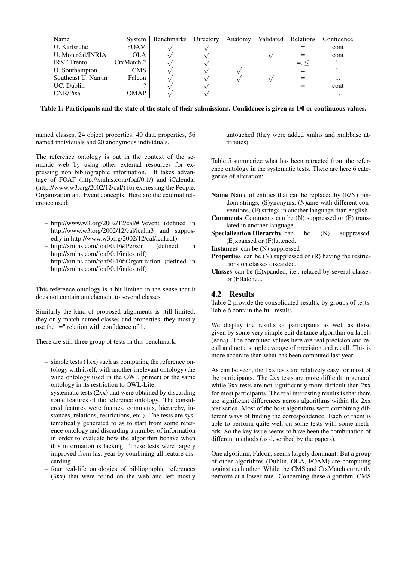| Name                | System      | Benchmarks | Directory | Anatomy | Validated | <b>Relations</b> | Confidence |
|---------------------|-------------|------------|-----------|---------|-----------|------------------|------------|
| U. Karlsruhe        | <b>FOAM</b> |            |           |         |           |                  | cont       |
| U. Montréal/INRIA   | OLA         |            |           |         |           |                  | cont       |
| <b>IRST</b> Trento  | CtxMatch 2  |            |           |         |           | $=$ , $\leq$     |            |
| U. Southampton      | <b>CMS</b>  |            |           |         |           |                  |            |
| Southeast U. Nanjin | Falcon      |            |           |         |           |                  |            |
| UC. Dublin          |             |            |           |         |           |                  | cont       |
| <b>CNR/Pisa</b>     | OMAP        |            |           |         |           |                  |            |

Table 1: Participants and the state of the state of their submissions. Confidence is given as 1/0 or continuous values.

named classes, 24 object properties, 40 data properties, 56 named individuals and 20 anonymous individuals.

The reference ontology is put in the context of the semantic web by using other external resources for expressing non bibliographic information. It takes advantage of FOAF (http://xmlns.com/foaf/0.1/) and iCalendar (http://www.w3.org/2002/12/cal/) for expressing the People, Organization and Event concepts. Here are the external reference used:

- http://www.w3.org/2002/12/cal/#:Vevent (defined in http://www.w3.org/2002/12/cal/ical.n3 and supposedly in http://www.w3.org/2002/12/cal/ical.rdf)
- http://xmlns.com/foaf/0.1/#:Person (defined in http://xmlns.com/foaf/0.1/index.rdf)
- http://xmlns.com/foaf/0.1/#:Organization (defined in http://xmlns.com/foaf/0.1/index.rdf)

This reference ontology is a bit limited in the sense that it does not contain attachement to several classes.

Similarly the kind of proposed alignments is still limited: they only match named classes and properties, they mostly use the "=" relation with confidence of 1.

There are still three group of tests in this benchmark:

- simple tests (1xx) such as comparing the reference ontology with itself, with another irrelevant ontology (the wine ontology used in the OWL primer) or the same ontology in its restriction to OWL-Lite;
- systematic tests (2xx) that were obtained by discarding some features of the reference ontology. The considered features were (names, comments, hierarchy, instances, relations, restrictions, etc.). The tests are systematically generated to as to start from some reference ontology and discarding a number of information in order to evaluate how the algorithm behave when this information is lacking. These tests were largely improved from last year by combining all feature discarding.
- four real-life ontologies of bibliographic references (3xx) that were found on the web and left mostly

untouched (they were added xmlns and xml:base attributes).

Table 5 summarize what has been retracted from the reference ontology in the systematic tests. There are here 6 categories of alteration:

- Name Name of entities that can be replaced by (R/N) random strings, (S)ynonyms, (N)ame with different conventions, (F) strings in another language than english.
- Comments Comments can be (N) suppressed or (F) translated in another language.
- Specialization Hierarchy can be (N) suppressed, (E)xpansed or (F)lattened.
- Instances can be (N) suppressed
- **Properties** can be  $(N)$  suppressed or  $(R)$  having the restrictions on classes discarded.
- Classes can be (E)xpanded, i.e., relaced by several classes or (F)latened.

## 4.2 Results

Table 2 provide the consolidated results, by groups of tests. Table 6 contain the full results.

We display the results of participants as well as those given by some very simple edit distance algorithm on labels (edna). The computed values here are real precision and recall and not a simple average of precision and recall. This is more accurate than what has been computed last year.

As can be seen, the 1xx tests are relatively easy for most of the participants. The 2xx tests are more difficult in general while 3xx tests are not significantly more difficult than 2xx for most participants. The real interesting results is that there are significant differences across algorithms within the 2xx test series. Most of the best algorithms were combining different ways of finding the correspondence. Each of them is able to perform quite well on some tests with some methods. So the key issue seems to have been the combination of different methods (as described by the papers).

One algorithm, Falcon, seems largely dominant. But a group of other algorithms (Dublin, OLA, FOAM) are computing against each other. While the CMS and CtxMatch currently perform at a lower rate. Concerning these algorithm, CMS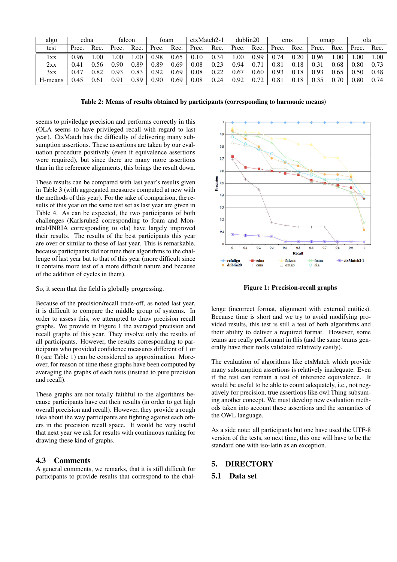| algo    | edna  |      | falcon |      | foam  |      | ctxMatch2-1 |      | dublin20 |      | cms   |      | omap  |      | ola   |      |
|---------|-------|------|--------|------|-------|------|-------------|------|----------|------|-------|------|-------|------|-------|------|
| test    | Prec. | Rec. | Prec.  | Rec. | Prec. | Rec. | Prec.       | Rec. | Prec.    | Rec. | Prec. | Rec. | Prec. | Rec. | Prec. | Rec. |
| lxx     | 0.96  | .00. | .00    | .00. | 0.98  | 0.65 | 0.10        | 0.34 | .00.     | 0.99 | 0.74  | 0.20 | 0.96  | .00  | .00   | 1.00 |
| 2xx     | 0.41  | 0.56 | 0.90   | 0.89 | 0.89  | 0.69 | 0.08        | 0.23 | 0.94     | 0.71 | 0.81  | 0.18 | 0.31  | 0.68 | 0.80  | 0.73 |
| 3xx     | 0.47  | 0.82 | 0.93   | 0.83 | 0.92  | 0.69 | 0.08        | 0.22 | 0.67     | 0.60 | 0.93  | 0.18 | 0.93  | 0.65 | 0.50  | 0.48 |
| H-means | 0.45  | 0.61 | 0.91   | 0.89 | 0.90  | 0.69 | 0.08        | 0.24 | 0.92     | 0.72 | 0.81  | 0.18 |       | 0.70 | 0.80  | 0.74 |

Table 2: Means of results obtained by participants (corresponding to harmonic means)

seems to priviledge precision and performs correctly in this (OLA seems to have privileged recall with regard to last year). CtxMatch has the difficulty of delivering many subsumption assertions. These assertions are taken by our evaluation procedure positively (even if equivalence assertions were required), but since there are many more assertions than in the reference alignments, this brings the result down.

These results can be compared with last year's results given in Table 3 (with aggregated measures computed at new with the methods of this year). For the sake of comparison, the results of this year on the same test set as last year are given in Table 4. As can be expected, the two participants of both challenges (Karlsruhe2 corresponding to foam and Montréal/INRIA corresponding to ola) have largely improved their results. The results of the best participants this year are over or similar to those of last year. This is remarkable, because participants did not tune their algorithms to the challenge of last year but to that of this year (more difficult since it contains more test of a more difficult nature and because of the addition of cycles in them).

So, it seem that the field is globally progressing.

Because of the precision/recall trade-off, as noted last year, it is difficult to compare the middle group of systems. In order to assess this, we attempted to draw precision recall graphs. We provide in Figure 1 the averaged precision and recall graphs of this year. They involve only the results of all participants. However, the results corresponding to participants who provided confidence measures different of 1 or 0 (see Table 1) can be considered as approximation. Moreover, for reason of time these graphs have been computed by averaging the graphs of each tests (instead to pure precision and recall).

These graphs are not totally faithful to the algorithms because participants have cut their results (in order to get high overall precision and recall). However, they provide a rough idea about the way participants are fighting against each others in the precision recall space. It would be very useful that next year we ask for results with continuous ranking for drawing these kind of graphs.

## 4.3 Comments

A general comments, we remarks, that it is still difficult for participants to provide results that correspond to the chal-



Figure 1: Precision-recall graphs

lenge (incorrect format, alignment with external entities). Because time is short and we try to avoid modifying provided results, this test is still a test of both algorithms and their ability to deliver a required format. However, some teams are really performant in this (and the same teams generally have their tools validated relatively easily).

The evaluation of algorithms like ctxMatch which provide many subsumption assertions is relatively inadequate. Even if the test can remain a test of inference equivalence. It would be useful to be able to count adequately, i.e., not negatively for precision, true assertions like owl:Thing subsuming another concept. We must develop new evaluation methods taken into account these assertions and the semantics of the OWL language.

As a side note: all participants but one have used the UTF-8 version of the tests, so next time, this one will have to be the standard one with iso-latin as an exception.

## 5. DIRECTORY

#### 5.1 Data set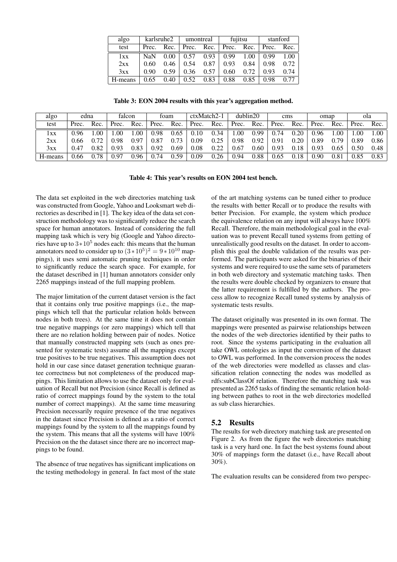| algo    |               | karlsruhe2 |       | umontreal | fujitsu |      | stanford      |      |  |
|---------|---------------|------------|-------|-----------|---------|------|---------------|------|--|
| test    | Rec.<br>Prec. |            | Prec. | Rec.      | Prec.   | Rec. | Prec.<br>Rec. |      |  |
| 1xx     | <b>NaN</b>    | 0.00       | 0.57  | 0.93      | 0.99    | 1.00 | 0.99          | 1.00 |  |
| 2xx     | 0.60          | 0.46       | 0.54  | 0.87      | 0.93    | 0.84 | 0.98          | 0.72 |  |
| 3xx     | 0.90          | 0.59       | 0.36  | 0.57      | 0.60    | 0.72 | 0.93          | 0.74 |  |
| H-means | 0.65          | 0.40       | 0.52  | 0.83      | 0.88    | 0.85 | 0.98          | 0.77 |  |

Table 3: EON 2004 results with this year's aggregation method.

| algo    | edna  |      | falcon |      | toam  |      | ctxMatch2-1 |      | dublin20 |      | cms   |      | omap              |           | ola   |      |
|---------|-------|------|--------|------|-------|------|-------------|------|----------|------|-------|------|-------------------|-----------|-------|------|
| test    | Prec. | Rec. | Prec.  | Rec. | Prec. | Rec. | Prec.       | Rec. | Prec.    | Rec. | Prec. | Rec. | Prec.             | Rec.      | Prec. | Rec. |
| lxx     | 0.96  | .00  | .00    | .00  | 0.98  | 0.65 | 0.10        | 0.34 | .00      | 0.99 | 0.74  | 0.20 | 0.96              | .00       | .00.  | .00  |
| 2xx     | 0.66  | 0.72 | ).98   | 0.97 | 0.87  | 0.73 | 0.09        | 0.25 | 0.98     | 0.92 | 0.91  | 0.20 | 0.89              | .79       | 0.89  | 0.86 |
| 3xx     | 0.47  | 0.82 | 0.93   | 0.83 | 0.92  | 0.69 | $0.08\,$    | 0.22 | 0.67     | 0.60 | 0.93  | 0.18 | ).93              | 0.65      | 0.50  | 0.48 |
| H-means | 0.66  | 0.78 | 0.97   | 0.96 | 0.74  | 0.59 | 0.09        | 0.26 | 0.94     | 0.88 | 0.65  | 0.18 | 0.90 <sub>1</sub> | $_{0.81}$ | 0.85  | 0.83 |

Table 4: This year's results on EON 2004 test bench.

The data set exploited in the web directories matching task was constructed from Google, Yahoo and Looksmart web directories as described in [1]. The key idea of the data set construction methodology was to significantly reduce the search space for human annotators. Instead of considering the full mapping task which is very big (Google and Yahoo directories have up to  $3*10^5$  nodes each: this means that the human annotators need to consider up to  $(3 \times 10^5)^2 = 9 \times 10^{10}$  mappings), it uses semi automatic pruning techniques in order to significantly reduce the search space. For example, for the dataset described in [1] human annotators consider only 2265 mappings instead of the full mapping problem.

The major limitation of the current dataset version is the fact that it contains only true positive mappings (i.e., the mappings which tell that the particular relation holds between nodes in both trees). At the same time it does not contain true negative mappings (or zero mappings) which tell that there are no relation holding between pair of nodes. Notice that manually constructed mapping sets (such as ones presented for systematic tests) assume all the mappings except true positives to be true negatives. This assumption does not hold in our case since dataset generation technique guarantee correctness but not completeness of the produced mappings. This limitation allows to use the dataset only for evaluation of Recall but not Precision (since Recall is defined as ratio of correct mappings found by the system to the total number of correct mappings). At the same time measuring Precision necessarily require presence of the true negatives in the dataset since Precision is defined as a ratio of correct mappings found by the system to all the mappings found by the system. This means that all the systems will have 100% Precision on the the dataset since there are no incorrect mappings to be found.

The absence of true negatives has significant implications on the testing methodology in general. In fact most of the state of the art matching systems can be tuned either to produce the results with better Recall or to produce the results with better Precision. For example, the system which produce the equivalence relation on any input will always have 100% Recall. Therefore, the main methodological goal in the evaluation was to prevent Recall tuned systems from getting of unrealistically good results on the dataset. In order to accomplish this goal the double validation of the results was performed. The participants were asked for the binaries of their systems and were required to use the same sets of parameters in both web directory and systematic matching tasks. Then the results were double checked by organizers to ensure that the latter requirement is fulfilled by the authors. The process allow to recognize Recall tuned systems by analysis of systematic tests results.

The dataset originally was presented in its own format. The mappings were presented as pairwise relationships between the nodes of the web directories identified by their paths to root. Since the systems participating in the evaluation all take OWL ontologies as input the conversion of the dataset to OWL was performed. In the conversion process the nodes of the web directories were modelled as classes and classification relation connecting the nodes was modelled as rdfs:subClassOf relation. Therefore the matching task was presented as 2265 tasks of finding the semantic relation holding between pathes to root in the web directories modelled as sub class hierarchies.

#### 5.2 Results

The results for web directory matching task are presented on Figure 2. As from the figure the web directories matching task is a very hard one. In fact the best systems found about 30% of mappings form the dataset (i.e., have Recall about 30%).

The evaluation results can be considered from two perspec-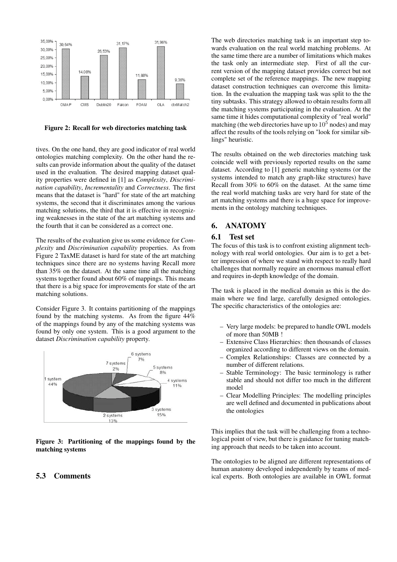

Figure 2: Recall for web directories matching task

tives. On the one hand, they are good indicator of real world ontologies matching complexity. On the other hand the results can provide information about the quality of the dataset used in the evaluation. The desired mapping dataset quality properties were defined in [1] as *Complexity*, *Discrimination capability*, *Incrementality* and *Correctness*. The first means that the dataset is "hard" for state of the art matching systems, the second that it discriminates among the various matching solutions, the third that it is effective in recognizing weaknesses in the state of the art matching systems and the fourth that it can be considered as a correct one.

The results of the evaluation give us some evidence for *Complexity* and *Discrimination capability* properties. As from Figure 2 TaxME dataset is hard for state of the art matching techniques since there are no systems having Recall more than 35% on the dataset. At the same time all the matching systems together found about 60% of mappings. This means that there is a big space for improvements for state of the art matching solutions.

Consider Figure 3. It contains partitioning of the mappings found by the matching systems. As from the figure 44% of the mappings found by any of the matching systems was found by only one system. This is a good argument to the dataset *Discrimination capability* property.



Figure 3: Partitioning of the mappings found by the matching systems

#### 5.3 Comments

The web directories matching task is an important step towards evaluation on the real world matching problems. At the same time there are a number of limitations which makes the task only an intermediate step. First of all the current version of the mapping dataset provides correct but not complete set of the reference mappings. The new mapping dataset construction techniques can overcome this limitation. In the evaluation the mapping task was split to the the tiny subtasks. This strategy allowed to obtain results form all the matching systems participating in the evaluation. At the same time it hides computational complexity of "real world" matching (the web directories have up to  $10<sup>5</sup>$  nodes) and may affect the results of the tools relying on "look for similar siblings" heuristic.

The results obtained on the web directories matching task coincide well with previously reported results on the same dataset. According to [1] generic matching systems (or the systems intended to match any graph-like structures) have Recall from 30% to 60% on the dataset. At the same time the real world matching tasks are very hard for state of the art matching systems and there is a huge space for improvements in the ontology matching techniques.

### 6. ANATOMY

#### 6.1 Test set

The focus of this task is to confront existing alignment technology with real world ontologies. Our aim is to get a better impression of where we stand with respect to really hard challenges that normally require an enormous manual effort and requires in-depth knowledge of the domain.

The task is placed in the medical domain as this is the domain where we find large, carefully designed ontologies. The specific characteristics of the ontologies are:

- Very large models: be prepared to handle OWL models of more than 50MB !
- Extensive Class Hierarchies: then thousands of classes organized according to different views on the domain.
- Complex Relationships: Classes are connected by a number of different relations.
- Stable Terminology: The basic terminology is rather stable and should not differ too much in the different model
- Clear Modelling Principles: The modelling principles are well defined and documented in publications about the ontologies

This implies that the task will be challenging from a technological point of view, but there is guidance for tuning matching approach that needs to be taken into account.

The ontologies to be aligned are different representations of human anatomy developed independently by teams of medical experts. Both ontologies are available in OWL format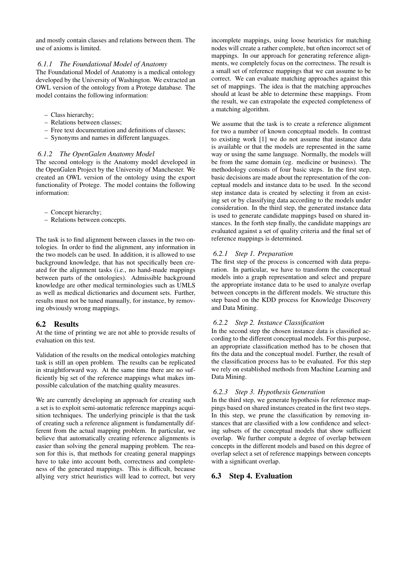and mostly contain classes and relations between them. The use of axioms is limited.

#### *6.1.1 The Foundational Model of Anatomy*

The Foundational Model of Anatomy is a medical ontology developed by the University of Washington. We extracted an OWL version of the ontology from a Protege database. The model contains the following information:

- Class hierarchy;
- Relations between classes;
- Free text documentation and definitions of classes;
- Synonyms and names in different languages.

#### *6.1.2 The OpenGalen Anatomy Model*

The second ontology is the Anatomy model developed in the OpenGalen Project by the University of Manchester. We created an OWL version of the ontology using the export functionality of Protege. The model contains the following information:

- Concept hierarchy;
- Relations between concepts.

The task is to find alignment between classes in the two ontologies. In order to find the alignment, any information in the two models can be used. In addition, it is allowed to use background knowledge, that has not specifically been created for the alignment tasks (i.e., no hand-made mappings between parts of the ontologies). Admissible background knowledge are other medical terminologies such as UMLS as well as medical dictionaries and document sets. Further, results must not be tuned manually, for instance, by removing obviously wrong mappings.

## 6.2 Results

At the time of printing we are not able to provide results of evaluation on this test.

Validation of the results on the medical ontologies matching task is still an open problem. The results can be replicated in straightforward way. At the same time there are no sufficiently big set of the reference mappings what makes impossible calculation of the matching quality measures.

We are currently developing an approach for creating such a set is to exploit semi-automatic reference mappings acquisition techniques. The underlying principle is that the task of creating such a reference alignment is fundamentally different from the actual mapping problem. In particular, we believe that automatically creating reference alignments is easier than solving the general mapping problem. The reason for this is, that methods for creating general mappings have to take into account both, correctness and completeness of the generated mappings. This is difficult, because allying very strict heuristics will lead to correct, but very

incomplete mappings, using loose heuristics for matching nodes will create a rather complete, but often incorrect set of mappings. In our approach for generating reference alignments, we completely focus on the correctness. The result is a small set of reference mappings that we can assume to be correct. We can evaluate matching approaches against this set of mappings. The idea is that the matching approaches should at least be able to determine these mappings. From the result, we can extrapolate the expected completeness of a matching algorithm.

We assume that the task is to create a reference alignment for two a number of known conceptual models. In contrast to existing work [1] we do not assume that instance data is available or that the models are represented in the same way or using the same language. Normally, the models will be from the same domain (eg. medicine or business). The methodology consists of four basic steps. In the first step, basic decisions are made about the representation of the conceptual models and instance data to be used. In the second step instance data is created by selecting it from an existing set or by classifying data according to the models under consideration. In the third step, the generated instance data is used to generate candidate mappings based on shared instances. In the forth step finally, the candidate mappings are evaluated against a set of quality criteria and the final set of reference mappings is determined.

#### *6.2.1 Step 1. Preparation*

The first step of the process is concerned with data preparation. In particular, we have to transform the conceptual models into a graph representation and select and prepare the appropriate instance data to be used to analyze overlap between concepts in the different models. We structure this step based on the KDD process for Knowledge Discovery and Data Mining.

#### *6.2.2 Step 2. Instance Classification*

In the second step the chosen instance data is classified according to the different conceptual models. For this purpose, an appropriate classification method has to be chosen that fits the data and the conceptual model. Further, the result of the classification process has to be evaluated. For this step we rely on established methods from Machine Learning and Data Mining.

#### *6.2.3 Step 3. Hypothesis Generation*

In the third step, we generate hypothesis for reference mappings based on shared instances created in the first two steps. In this step, we prune the classification by removing instances that are classified with a low confidence and selecting subsets of the conceptual models that show sufficient overlap. We further compute a degree of overlap between concepts in the different models and based on this degree of overlap select a set of reference mappings between concepts with a significant overlap.

#### 6.3 Step 4. Evaluation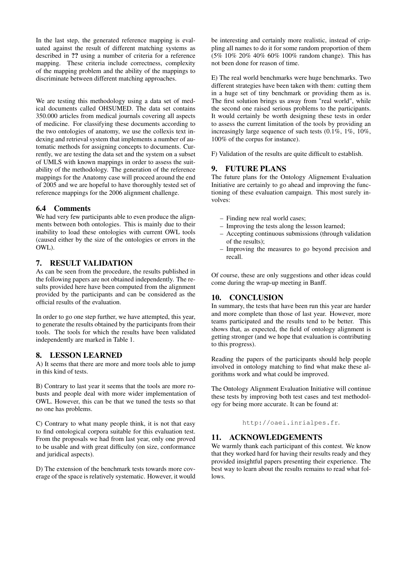In the last step, the generated reference mapping is evaluated against the result of different matching systems as described in ?? using a number of criteria for a reference mapping. These criteria include correctness, complexity of the mapping problem and the ability of the mappings to discriminate between different matching approaches.

We are testing this methodology using a data set of medical documents called OHSUMED. The data set contains 350.000 articles from medical journals covering all aspects of medicine. For classifying these documents according to the two ontologies of anatomy, we use the collexis text indexing and retrieval system that implements a number of automatic methods for assigning concepts to documents. Currently, we are testing the data set and the system on a subset of UMLS with known mappings in order to assess the suitability of the methodology. The generation of the reference mappings for the Anatomy case will proceed around the end of 2005 and we are hopeful to have thoroughly tested set of reference mappings for the 2006 alignment challenge.

## 6.4 Comments

We had very few participants able to even produce the alignments between both ontologies. This is mainly due to their inability to load these ontologies with current OWL tools (caused either by the size of the ontologies or errors in the OWL).

## 7. RESULT VALIDATION

As can be seen from the procedure, the results published in the following papers are not obtained independently. The results provided here have been computed from the alignment provided by the participants and can be considered as the official results of the evaluation.

In order to go one step further, we have attempted, this year, to generate the results obtained by the participants from their tools. The tools for which the results have been validated independently are marked in Table 1.

## 8. LESSON LEARNED

A) It seems that there are more and more tools able to jump in this kind of tests.

B) Contrary to last year it seems that the tools are more robusts and people deal with more wider implementation of OWL. However, this can be that we tuned the tests so that no one has problems.

C) Contrary to what many people think, it is not that easy to find ontological corpora suitable for this evaluation test. From the proposals we had from last year, only one proved to be usable and with great difficulty (on size, conformance and juridical aspects).

D) The extension of the benchmark tests towards more coverage of the space is relatively systematic. However, it would

be interesting and certainly more realistic, instead of crippling all names to do it for some random proportion of them (5% 10% 20% 40% 60% 100% random change). This has not been done for reason of time.

E) The real world benchmarks were huge benchmarks. Two different strategies have been taken with them: cutting them in a huge set of tiny benchmark or providing them as is. The first solution brings us away from "real world", while the second one raised serious problems to the participants. It would certainly be worth designing these tests in order to assess the current limitation of the tools by providing an increasingly large sequence of such tests  $(0.1\%, 1\%, 10\%$ , 100% of the corpus for instance).

F) Validation of the results are quite difficult to establish.

## 9. FUTURE PLANS

The future plans for the Ontology Alignement Evaluation Initiative are certainly to go ahead and improving the functioning of these evaluation campaign. This most surely involves:

- Finding new real world cases;
- Improving the tests along the lesson learned;
- Accepting continuous submissions (through validation of the results);
- Improving the measures to go beyond precision and recall.

Of course, these are only suggestions and other ideas could come during the wrap-up meeting in Banff.

## 10. CONCLUSION

In summary, the tests that have been run this year are harder and more complete than those of last year. However, more teams participated and the results tend to be better. This shows that, as expected, the field of ontology alignment is getting stronger (and we hope that evaluation is contributing to this progress).

Reading the papers of the participants should help people involved in ontology matching to find what make these algorithms work and what could be improved.

The Ontology Alignment Evaluation Initiative will continue these tests by improving both test cases and test methodology for being more accurate. It can be found at:

http://oaei.inrialpes.fr.

## 11. ACKNOWLEDGEMENTS

We warmly thank each participant of this contest. We know that they worked hard for having their results ready and they provided insightful papers presenting their experience. The best way to learn about the results remains to read what follows.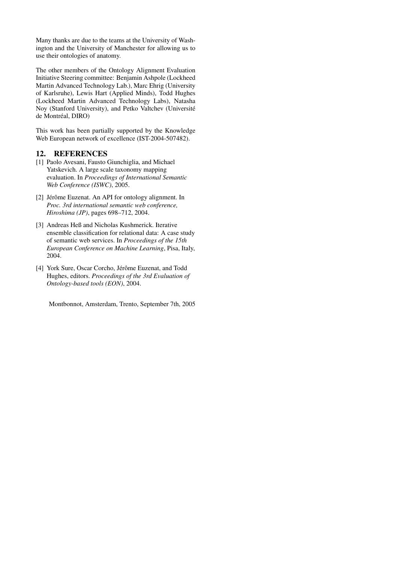Many thanks are due to the teams at the University of Washington and the University of Manchester for allowing us to use their ontologies of anatomy.

The other members of the Ontology Alignment Evaluation Initiative Steering committee: Benjamin Ashpole (Lockheed Martin Advanced Technology Lab.), Marc Ehrig (University of Karlsruhe), Lewis Hart (Applied Minds), Todd Hughes (Lockheed Martin Advanced Technology Labs), Natasha Noy (Stanford University), and Petko Valtchev (Université de Montréal, DIRO)

This work has been partially supported by the Knowledge Web European network of excellence (IST-2004-507482).

## 12. REFERENCES

- [1] Paolo Avesani, Fausto Giunchiglia, and Michael Yatskevich. A large scale taxonomy mapping evaluation. In *Proceedings of International Semantic Web Conference (ISWC)*, 2005.
- [2] Jérôme Euzenat. An API for ontology alignment. In *Proc. 3rd international semantic web conference, Hiroshima (JP)*, pages 698–712, 2004.
- [3] Andreas Heß and Nicholas Kushmerick. Iterative ensemble classification for relational data: A case study of semantic web services. In *Proceedings of the 15th European Conference on Machine Learning*, Pisa, Italy, 2004.
- [4] York Sure, Oscar Corcho, Jérôme Euzenat, and Todd Hughes, editors. *Proceedings of the 3rd Evaluation of Ontology-based tools (EON)*, 2004.

Montbonnot, Amsterdam, Trento, September 7th, 2005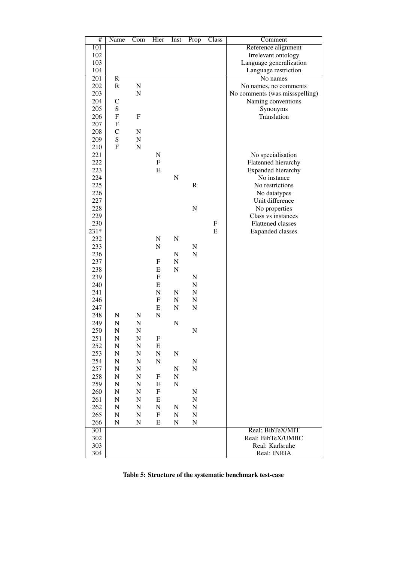| #                | Name                      | Com                       | Hier                      | Inst        | Prop        | $\overline{\text{Class}}$ | Comment                        |
|------------------|---------------------------|---------------------------|---------------------------|-------------|-------------|---------------------------|--------------------------------|
| $\overline{101}$ |                           |                           |                           |             |             |                           | Reference alignment            |
| 102              |                           |                           |                           |             |             |                           | Irrelevant ontology            |
| 103              |                           |                           |                           |             |             |                           | Language generalization        |
| 104              |                           |                           |                           |             |             |                           | Language restriction           |
| $\overline{201}$ | $\overline{R}$            |                           |                           |             |             |                           | No names                       |
| 202              | ${\bf R}$                 | ${\bf N}$                 |                           |             |             |                           | No names, no comments          |
| 203              |                           | ${\bf N}$                 |                           |             |             |                           | No comments (was missspelling) |
|                  |                           |                           |                           |             |             |                           |                                |
| 204              | $\mathcal{C}$             |                           |                           |             |             |                           | Naming conventions             |
| 205              | ${\bf S}$                 |                           |                           |             |             |                           | Synonyms                       |
| 206              | $\boldsymbol{\mathrm{F}}$ | $\boldsymbol{\mathrm{F}}$ |                           |             |             |                           | Translation                    |
| 207              | $\boldsymbol{F}$          |                           |                           |             |             |                           |                                |
| 208              | $\mathbf C$               | ${\bf N}$                 |                           |             |             |                           |                                |
| 209              | S                         | ${\bf N}$                 |                           |             |             |                           |                                |
| 210              | $\mathbf F$               | $\mathbf N$               |                           |             |             |                           |                                |
| 221              |                           |                           | ${\bf N}$                 |             |             |                           | No specialisation              |
| 222              |                           |                           | $\mathbf F$               |             |             |                           | Flatenned hierarchy            |
| 223              |                           |                           | E                         |             |             |                           | Expanded hierarchy             |
| 224              |                           |                           |                           | ${\bf N}$   |             |                           | No instance                    |
| 225              |                           |                           |                           |             | $\mathbf R$ |                           | No restrictions                |
| 226              |                           |                           |                           |             |             |                           | No datatypes                   |
| 227              |                           |                           |                           |             |             |                           | Unit difference                |
| 228              |                           |                           |                           |             | N           |                           | No properties                  |
| 229              |                           |                           |                           |             |             |                           | Class vs instances             |
| 230              |                           |                           |                           |             |             | $\boldsymbol{\mathrm{F}}$ |                                |
|                  |                           |                           |                           |             |             | E                         | <b>Flattened classes</b>       |
| 231*             |                           |                           |                           |             |             |                           | <b>Expanded classes</b>        |
| 232              |                           |                           | ${\bf N}$                 | N           |             |                           |                                |
| 233              |                           |                           | N                         |             | N           |                           |                                |
| 236              |                           |                           |                           | ${\bf N}$   | ${\bf N}$   |                           |                                |
| 237              |                           |                           | ${\bf F}$                 | ${\bf N}$   |             |                           |                                |
| 238              |                           |                           | E                         | $\mathbf N$ |             |                           |                                |
| 239              |                           |                           | $\boldsymbol{\mathrm{F}}$ |             | N           |                           |                                |
| 240              |                           |                           | E                         |             | N           |                           |                                |
| 241              |                           |                           | N                         | ${\bf N}$   | ${\bf N}$   |                           |                                |
| 246              |                           |                           | $\mathbf F$               | N           | N           |                           |                                |
| 247              |                           |                           | ${\bf E}$                 | ${\bf N}$   | ${\bf N}$   |                           |                                |
| 248              | $\mathbf N$               | N                         | ${\bf N}$                 |             |             |                           |                                |
| 249              | N                         | ${\bf N}$                 |                           | $\mathbf N$ |             |                           |                                |
| 250              | N                         | N                         |                           |             | ${\bf N}$   |                           |                                |
| 251              | $\mathbf N$               | N                         | F                         |             |             |                           |                                |
| 252              | N                         | ${\bf N}$                 | ${\bf E}$                 |             |             |                           |                                |
| 253              | $\mathbf N$               | N                         | ${\bf N}$                 | N           |             |                           |                                |
| 254              | N                         | N                         | ${\bf N}$                 |             | N           |                           |                                |
| 257              | N                         | N                         |                           | N           | ${\bf N}$   |                           |                                |
| 258              | N                         | N                         | F                         | N           |             |                           |                                |
| 259              | $\mathbf N$               |                           |                           |             |             |                           |                                |
|                  | $\mathbf N$               | N                         | E                         | N           |             |                           |                                |
| 260              |                           | N                         | F                         |             | N           |                           |                                |
| 261              | $\mathbf N$               | N                         | E                         |             | ${\bf N}$   |                           |                                |
| 262              | $\mathbf N$               | ${\bf N}$                 | N                         | N           | N           |                           |                                |
| 265              | $\mathbf N$               | ${\bf N}$                 | $\mathbf F$               | N           | N           |                           |                                |
| 266              | N                         | ${\bf N}$                 | E                         | N           | N           |                           |                                |
| 301              |                           |                           |                           |             |             |                           | Real: BibTeX/MIT               |
| 302              |                           |                           |                           |             |             |                           | Real: BibTeX/UMBC              |
| 303              |                           |                           |                           |             |             |                           | Real: Karlsruhe                |
| 304              |                           |                           |                           |             |             |                           | Real: INRIA                    |

Table 5: Structure of the systematic benchmark test-case